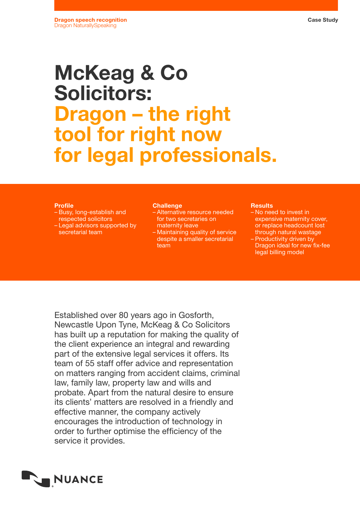# McKeag & Co Solicitors: Dragon – the right tool for right now for legal professionals.

# Profile

- Busy, long-establish and respected solicitors
- Legal advisors supported by secretarial team

#### **Challenge**

- Alternative resource needed for two secretaries on maternity leave
- Maintaining quality of service despite a smaller secretarial team

#### **Results**

- No need to invest in expensive maternity cover, or replace headcount lost through natural wastage
- Productivity driven by Dragon ideal for new fix-fee legal billing model

Established over 80 years ago in Gosforth, Newcastle Upon Tyne, McKeag & Co Solicitors has built up a reputation for making the quality of the client experience an integral and rewarding part of the extensive legal services it offers. Its team of 55 staff offer advice and representation on matters ranging from accident claims, criminal law, family law, property law and wills and probate. Apart from the natural desire to ensure its clients' matters are resolved in a friendly and effective manner, the company actively encourages the introduction of technology in order to further optimise the efficiency of the service it provides.

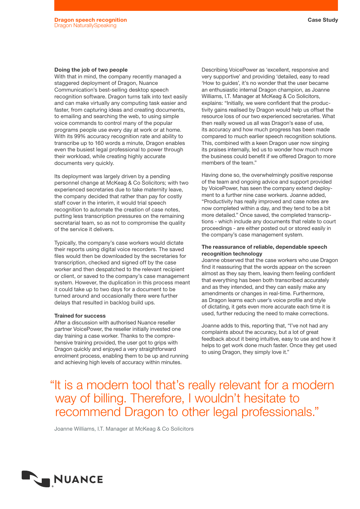# Doing the job of two people

With that in mind, the company recently managed a staggered deployment of Dragon, Nuance Communication's best-selling desktop speech recognition software. Dragon turns talk into text easily and can make virtually any computing task easier and faster, from capturing ideas and creating documents, to emailing and searching the web, to using simple voice commands to control many of the popular programs people use every day at work or at home. With its 99% accuracy recognition rate and ability to transcribe up to 160 words a minute, Dragon enables even the busiest legal professional to power through their workload, while creating highly accurate documents very quickly.

Its deployment was largely driven by a pending personnel change at McKeag & Co Solicitors; with two experienced secretaries due to take maternity leave, the company decided that rather than pay for costly staff cover in the interim, it would trial speech recognition to automate the creation of case notes, putting less transcription pressures on the remaining secretarial team, so as not to compromise the quality of the service it delivers.

Typically, the company's case workers would dictate their reports using digital voice recorders. The saved files would then be downloaded by the secretaries for transcription, checked and signed off by the case worker and then despatched to the relevant recipient or client, or saved to the company's case management system. However, the duplication in this process meant it could take up to two days for a document to be turned around and occasionally there were further delays that resulted in backlog build ups.

# Trained for success

After a discussion with authorised Nuance reseller partner VoicePower, the reseller initially invested one day training a case worker. Thanks to the comprehensive training provided, the user got to grips with Dragon quickly and enjoyed a very straightforward enrolment process, enabling them to be up and running and achieving high levels of accuracy within minutes.

Describing VoicePower as 'excellent, responsive and very supportive' and providing 'detailed, easy to read 'How to guides', it's no wonder that the user became an enthusiastic internal Dragon champion, as Joanne Williams, I.T. Manager at McKeag & Co Solicitors, explains: "Initially, we were confident that the productivity gains realised by Dragon would help us offset the resource loss of our two experienced secretaries. What then really wowed us all was Dragon's ease of use, its accuracy and how much progress has been made compared to much earlier speech recognition solutions. This, combined with a keen Dragon user now singing its praises internally, led us to wonder how much more the business could benefit if we offered Dragon to more members of the team."

Having done so, the overwhelmingly positive response of the team and ongoing advice and support provided by VoicePower, has seen the company extend deployment to a further nine case workers. Joanne added, "Productivity has really improved and case notes are now completed within a day, and they tend to be a bit more detailed." Once saved, the completed transcriptions - which include any documents that relate to court proceedings - are either posted out or stored easily in the company's case management system.

# The reassurance of reliable, dependable speech recognition technology

Joanne observed that the case workers who use Dragon find it reassuring that the words appear on the screen almost as they say them, leaving them feeling confident that everything has been both transcribed accurately and as they intended, and they can easily make any amendments or changes in real-time. Furthermore, as Dragon learns each user's voice profile and style of dictating, it gets even more accurate each time it is used, further reducing the need to make corrections.

Joanne adds to this, reporting that, "I've not had any complaints about the accuracy, but a lot of great feedback about it being intuitive, easy to use and how it helps to get work done much faster. Once they get used to using Dragon, they simply love it."

# "It is a modern tool that's really relevant for a modern way of billing. Therefore, I wouldn't hesitate to recommend Dragon to other legal professionals."

Joanne Williams, I.T. Manager at McKeag & Co Solicitors